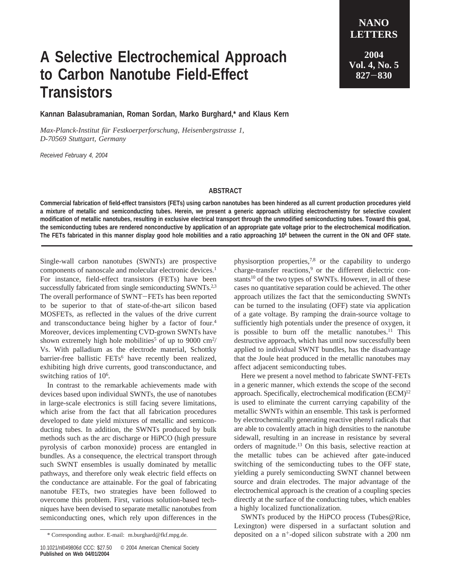## **A Selective Electrochemical Approach to Carbon Nanotube Field-Effect Transistors**

**LETTERS 2004 Vol. 4, No. 5 <sup>827</sup>**-**<sup>830</sup>**

**NANO**

**Kannan Balasubramanian, Roman Sordan, Marko Burghard,\* and Klaus Kern**

*Max-Planck-Institut fu¨r Festkoerperforschung, Heisenbergstrasse 1, D-70569 Stuttgart, Germany*

*Received February 4, 2004*

## **ABSTRACT**

**Commercial fabrication of field-effect transistors (FETs) using carbon nanotubes has been hindered as all current production procedures yield a mixture of metallic and semiconducting tubes. Herein, we present a generic approach utilizing electrochemistry for selective covalent modification of metallic nanotubes, resulting in exclusive electrical transport through the unmodified semiconducting tubes. Toward this goal, the semiconducting tubes are rendered nonconductive by application of an appropriate gate voltage prior to the electrochemical modification. The FETs fabricated in this manner display good hole mobilities and a ratio approaching 106 between the current in the ON and OFF state.**

Single-wall carbon nanotubes (SWNTs) are prospective components of nanoscale and molecular electronic devices.<sup>1</sup> For instance, field-effect transistors (FETs) have been successfully fabricated from single semiconducting SWNTs.<sup>2,3</sup> The overall performance of SWNT-FETs has been reported to be superior to that of state-of-the-art silicon based MOSFETs, as reflected in the values of the drive current and transconductance being higher by a factor of four.4 Moreover, devices implementing CVD-grown SWNTs have shown extremely high hole mobilities<sup>5</sup> of up to 9000 cm<sup>2</sup>/ Vs. With palladium as the electrode material, Schottky barrier-free ballistic FETs<sup>6</sup> have recently been realized, exhibiting high drive currents, good transconductance, and switching ratios of 10<sup>6</sup>.

In contrast to the remarkable achievements made with devices based upon individual SWNTs, the use of nanotubes in large-scale electronics is still facing severe limitations, which arise from the fact that all fabrication procedures developed to date yield mixtures of metallic and semiconducting tubes. In addition, the SWNTs produced by bulk methods such as the arc discharge or HiPCO (high pressure pyrolysis of carbon monoxide) process are entangled in bundles. As a consequence, the electrical transport through such SWNT ensembles is usually dominated by metallic pathways, and therefore only weak electric field effects on the conductance are attainable. For the goal of fabricating nanotube FETs, two strategies have been followed to overcome this problem. First, various solution-based techniques have been devised to separate metallic nanotubes from semiconducting ones, which rely upon differences in the

physisorption properties, $7,8$  or the capability to undergo charge-transfer reactions,<sup>9</sup> or the different dielectric constants<sup>10</sup> of the two types of SWNTs. However, in all of these cases no quantitative separation could be achieved. The other approach utilizes the fact that the semiconducting SWNTs can be turned to the insulating (OFF) state via application of a gate voltage. By ramping the drain-source voltage to sufficiently high potentials under the presence of oxygen, it is possible to burn off the metallic nanotubes. $11$  This destructive approach, which has until now successfully been applied to individual SWNT bundles, has the disadvantage that the Joule heat produced in the metallic nanotubes may affect adjacent semiconducting tubes.

Here we present a novel method to fabricate SWNT-FETs in a generic manner, which extends the scope of the second approach. Specifically, electrochemical modification (ECM)<sup>12</sup> is used to eliminate the current carrying capability of the metallic SWNTs within an ensemble. This task is performed by electrochemically generating reactive phenyl radicals that are able to covalently attach in high densities to the nanotube sidewall, resulting in an increase in resistance by several orders of magnitude.13 On this basis, selective reaction at the metallic tubes can be achieved after gate-induced switching of the semiconducting tubes to the OFF state, yielding a purely semiconducting SWNT channel between source and drain electrodes. The major advantage of the electrochemical approach is the creation of a coupling species directly at the surface of the conducting tubes, which enables a highly localized functionalization.

SWNTs produced by the HiPCO process (Tubes@Rice, Lexington) were dispersed in a surfactant solution and \* Corresponding author. E-mail: m.burghard@fkf.mpg.de. deposited on a n<sup>+</sup>-doped silicon substrate with a 200 nm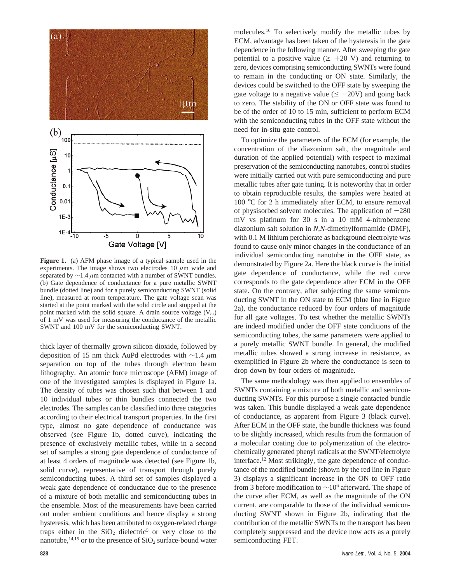

**Figure 1.** (a) AFM phase image of a typical sample used in the experiments. The image shows two electrodes 10 *µ*m wide and separated by ∼1.4 *µ*m contacted with a number of SWNT bundles. (b) Gate dependence of conductance for a pure metallic SWNT bundle (dotted line) and for a purely semiconducting SWNT (solid line), measured at room temperature. The gate voltage scan was started at the point marked with the solid circle and stopped at the point marked with the solid square. A drain source voltage  $(V_{ds})$ of 1 mV was used for measuring the conductance of the metallic SWNT and 100 mV for the semiconducting SWNT.

thick layer of thermally grown silicon dioxide, followed by deposition of 15 nm thick AuPd electrodes with ∼1.4 *µ*m separation on top of the tubes through electron beam lithography. An atomic force microscope (AFM) image of one of the investigated samples is displayed in Figure 1a. The density of tubes was chosen such that between 1 and 10 individual tubes or thin bundles connected the two electrodes. The samples can be classified into three categories according to their electrical transport properties. In the first type, almost no gate dependence of conductance was observed (see Figure 1b, dotted curve), indicating the presence of exclusively metallic tubes, while in a second set of samples a strong gate dependence of conductance of at least 4 orders of magnitude was detected (see Figure 1b, solid curve), representative of transport through purely semiconducting tubes. A third set of samples displayed a weak gate dependence of conductance due to the presence of a mixture of both metallic and semiconducting tubes in the ensemble. Most of the measurements have been carried out under ambient conditions and hence display a strong hysteresis, which has been attributed to oxygen-related charge traps either in the  $SiO<sub>2</sub>$  dielectric<sup>5</sup> or very close to the nanotube,  $^{14,15}$  or to the presence of SiO<sub>2</sub> surface-bound water

molecules.16 To selectively modify the metallic tubes by ECM, advantage has been taken of the hysteresis in the gate dependence in the following manner. After sweeping the gate potential to a positive value ( $\geq$  +20 V) and returning to zero, devices comprising semiconducting SWNTs were found to remain in the conducting or ON state. Similarly, the devices could be switched to the OFF state by sweeping the gate voltage to a negative value ( $\leq -20V$ ) and going back to zero. The stability of the ON or OFF state was found to be of the order of 10 to 15 min, sufficient to perform ECM with the semiconducting tubes in the OFF state without the need for in-situ gate control.

To optimize the parameters of the ECM (for example, the concentration of the diazonium salt, the magnitude and duration of the applied potential) with respect to maximal preservation of the semiconducting nanotubes, control studies were initially carried out with pure semiconducting and pure metallic tubes after gate tuning. It is noteworthy that in order to obtain reproducible results, the samples were heated at 100 °C for 2 h immediately after ECM, to ensure removal of physisorbed solvent molecules. The application of  $-280$ mV vs platinum for 30 s in a 10 mM 4-nitrobenzene diazonium salt solution in *N*,*N*-dimethylformamide (DMF), with 0.1 M lithium perchlorate as background electrolyte was found to cause only minor changes in the conductance of an individual semiconducting nanotube in the OFF state, as demonstrated by Figure 2a. Here the black curve is the initial gate dependence of conductance, while the red curve corresponds to the gate dependence after ECM in the OFF state. On the contrary, after subjecting the same semiconducting SWNT in the ON state to ECM (blue line in Figure 2a), the conductance reduced by four orders of magnitude for all gate voltages. To test whether the metallic SWNTs are indeed modified under the OFF state conditions of the semiconducting tubes, the same parameters were applied to a purely metallic SWNT bundle. In general, the modified metallic tubes showed a strong increase in resistance, as exemplified in Figure 2b where the conductance is seen to drop down by four orders of magnitude.

The same methodology was then applied to ensembles of SWNTs containing a mixture of both metallic and semiconducting SWNTs. For this purpose a single contacted bundle was taken. This bundle displayed a weak gate dependence of conductance, as apparent from Figure 3 (black curve). After ECM in the OFF state, the bundle thickness was found to be slightly increased, which results from the formation of a molecular coating due to polymerization of the electrochemically generated phenyl radicals at the SWNT/electrolyte interface.12 Most strikingly, the gate dependence of conductance of the modified bundle (shown by the red line in Figure 3) displays a significant increase in the ON to OFF ratio from 3 before modification to  $\sim$ 10<sup>6</sup> afterward. The shape of the curve after ECM, as well as the magnitude of the ON current, are comparable to those of the individual semiconducting SWNT shown in Figure 2b, indicating that the contribution of the metallic SWNTs to the transport has been completely suppressed and the device now acts as a purely semiconducting FET.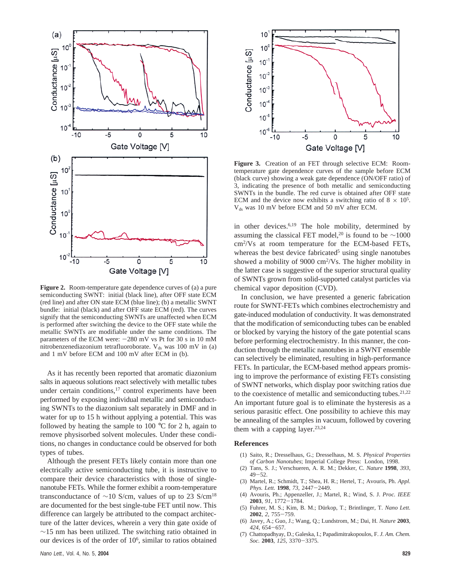

**Figure 2.** Room-temperature gate dependence curves of (a) a pure semiconducting SWNT: initial (black line), after OFF state ECM (red line) and after ON state ECM (blue line); (b) a metallic SWNT bundle: initial (black) and after OFF state ECM (red). The curves signify that the semiconducting SWNTs are unaffected when ECM is performed after switching the device to the OFF state while the metallic SWNTs are modifiable under the same conditions. The parameters of the ECM were:  $-280$  mV vs Pt for 30 s in 10 mM nitrobenzenediazonium tetrafluoroborate.  $V_{ds}$  was 100 mV in (a) and 1 mV before ECM and 100 mV after ECM in (b).

As it has recently been reported that aromatic diazonium salts in aqueous solutions react selectively with metallic tubes under certain conditions, $17$  control experiments have been performed by exposing individual metallic and semiconducting SWNTs to the diazonium salt separately in DMF and in water for up to 15 h without applying a potential. This was followed by heating the sample to 100  $\degree$ C for 2 h, again to remove physisorbed solvent molecules. Under these conditions, no changes in conductance could be observed for both types of tubes.

Although the present FETs likely contain more than one electrically active semiconducting tube, it is instructive to compare their device characteristics with those of singlenanotube FETs. While the former exhibit a room-temperature transconductance of  $\sim$ 10 S/cm, values of up to 23 S/cm<sup>18</sup> are documented for the best single-tube FET until now. This difference can largely be attributed to the compact architecture of the latter devices, wherein a very thin gate oxide of  $\sim$ 15 nm has been utilized. The switching ratio obtained in our devices is of the order of 106, similar to ratios obtained



**Figure 3.** Creation of an FET through selective ECM: Roomtemperature gate dependence curves of the sample before ECM (black curve) showing a weak gate dependence (ON/OFF ratio) of 3, indicating the presence of both metallic and semiconducting SWNTs in the bundle. The red curve is obtained after OFF state ECM and the device now exhibits a switching ratio of  $8 \times 10^5$ .  $V_{ds}$  was 10 mV before ECM and 50 mV after ECM.

in other devices. $6,19$  The hole mobility, determined by assuming the classical FET model,<sup>20</sup> is found to be  $\sim$ 1000 cm2 /Vs at room temperature for the ECM-based FETs, whereas the best device fabricated<sup>5</sup> using single nanotubes showed a mobility of 9000 cm<sup>2</sup>/Vs. The higher mobility in the latter case is suggestive of the superior structural quality of SWNTs grown from solid-supported catalyst particles via chemical vapor deposition (CVD).

In conclusion, we have presented a generic fabrication route for SWNT-FETs which combines electrochemistry and gate-induced modulation of conductivity. It was demonstrated that the modification of semiconducting tubes can be enabled or blocked by varying the history of the gate potential scans before performing electrochemistry. In this manner, the conduction through the metallic nanotubes in a SWNT ensemble can selectively be eliminated, resulting in high-performance FETs. In particular, the ECM-based method appears promising to improve the performance of existing FETs consisting of SWNT networks, which display poor switching ratios due to the coexistence of metallic and semiconducting tubes. $21,22$ An important future goal is to eliminate the hysteresis as a serious parasitic effect. One possibility to achieve this may be annealing of the samples in vacuum, followed by covering them with a capping layer.<sup>23,24</sup>

## **References**

- (1) Saito, R.; Dresselhaus, G.; Dresselhaus, M. S. *Physical Properties of Carbon Nanotubes*; Imperial College Press: London, 1998.
- (2) Tans, S. J.; Verschueren, A. R. M.; Dekker, C. *Nature* **1998**, *393*, <sup>49</sup>-52. (3) Martel, R.; Schmidt, T.; Shea, H. R.; Hertel, T.; Avouris, Ph. *Appl.*
- *Phys. Lett.* **<sup>1998</sup>**, *<sup>73</sup>*, 2447-2449.
- (4) Avouris, Ph.; Appenzeller, J.; Martel, R.; Wind, S. J. *Proc. IEEE* **<sup>2003</sup>**, *<sup>91</sup>*, 1772-1784.
- (5) Fuhrer, M. S.; Kim, B. M.; Du¨rkop, T.; Brintlinger, T. *Nano Lett.* **<sup>2002</sup>**, *<sup>2</sup>*, 755-759.
- (6) Javey, A.; Guo, J.; Wang, Q.; Lundstrom, M.; Dai, H. *Nature* **2003**, *<sup>424</sup>*, 654-657. (7) Chattopadhyay, D.; Galeska, I.; Papadimitrakopoulos, F. *J. Am. Chem.*
- *Soc.* **<sup>2003</sup>**, *<sup>125</sup>*, 3370-3375.